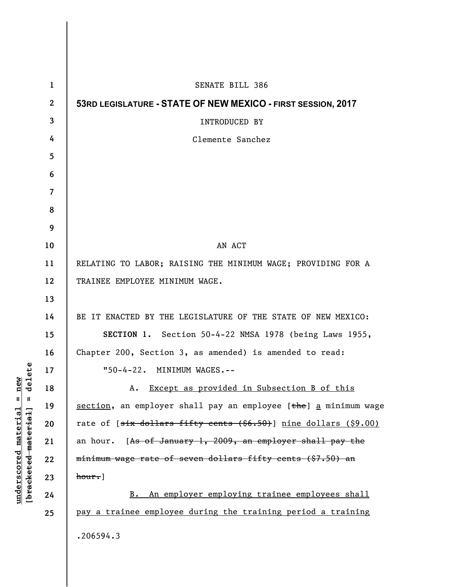| $\mathbf{1}$   | SENATE BILL 386                                                                      |
|----------------|--------------------------------------------------------------------------------------|
| $\mathbf{2}$   | 53RD LEGISLATURE - STATE OF NEW MEXICO - FIRST SESSION, 2017                         |
| 3              | <b>INTRODUCED BY</b>                                                                 |
| 4              | Clemente Sanchez                                                                     |
| 5              |                                                                                      |
| 6              |                                                                                      |
| $\overline{7}$ |                                                                                      |
| 8              |                                                                                      |
| 9              |                                                                                      |
| 10             | AN ACT                                                                               |
| 11             | RELATING TO LABOR; RAISING THE MINIMUM WAGE; PROVIDING FOR A                         |
| 12             | TRAINEE EMPLOYEE MINIMUM WAGE.                                                       |
| 13             |                                                                                      |
| 14             | BE IT ENACTED BY THE LEGISLATURE OF THE STATE OF NEW MEXICO:                         |
| 15             | SECTION 1. Section 50-4-22 NMSA 1978 (being Laws 1955,                               |
| 16             | Chapter 200, Section 3, as amended) is amended to read:                              |
| 17             | "50-4-22. MINIMUM WAGES.--                                                           |
| 18             | A. Except as provided in Subsection B of this                                        |
| 19             | section, an employer shall pay an employee [the] a minimum wage                      |
| 20             | rate of [ <del>six dollars fifty cents (\$6.50)</del> ] <u>nine dollars (\$9.00)</u> |
| 21             | [As of January 1, 2009, an employer shall pay the<br>an hour.                        |
| 22             | minimum wage rate of seven dollars fifty cents (\$7.50) an                           |
| 23             | $hour.$ ]                                                                            |
| 24             | B. An employer employing trainee employees shall                                     |
| 25             | pay a trainee employee during the training period a training                         |
|                | .206594.3                                                                            |
|                |                                                                                      |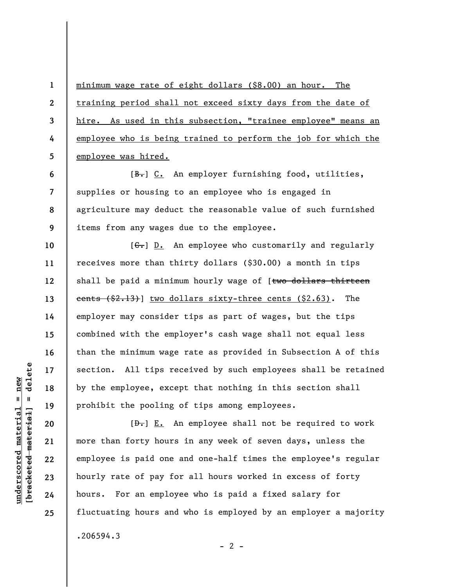minimum wage rate of eight dollars (\$8.00) an hour. The training period shall not exceed sixty days from the date of hire. As used in this subsection, "trainee employee" means an employee who is being trained to perform the job for which the employee was hired.

**8 9**  [B.] C. An employer furnishing food, utilities, supplies or housing to an employee who is engaged in agriculture may deduct the reasonable value of such furnished items from any wages due to the employee.

 $[G<sub>1</sub>]$  D. An employee who customarily and regularly receives more than thirty dollars (\$30.00) a month in tips shall be paid a minimum hourly wage of [two dollars thirteen cents  $( $2.13)$  two dollars sixty-three cents  $( $2.63)$ . The employer may consider tips as part of wages, but the tips combined with the employer's cash wage shall not equal less than the minimum wage rate as provided in Subsection A of this section. All tips received by such employees shall be retained by the employee, except that nothing in this section shall prohibit the pooling of tips among employees.

 $[\frac{D-1}{2}]$  E. An employee shall not be required to work more than forty hours in any week of seven days, unless the employee is paid one and one-half times the employee's regular hourly rate of pay for all hours worked in excess of forty hours. For an employee who is paid a fixed salary for fluctuating hours and who is employed by an employer a majority .206594.3

 $- 2 -$ 

delete **[bracketed material] = delete**  $underscored material = new$ **underscored material = new**  $\frac{1}{2}$ 

**1** 

**2** 

**3** 

**4** 

**5** 

**6** 

**7** 

**10** 

**11** 

**12** 

**13** 

**14** 

**15** 

**16** 

**17** 

**18** 

**19** 

**20** 

**21** 

**22** 

**23** 

**24** 

**25**